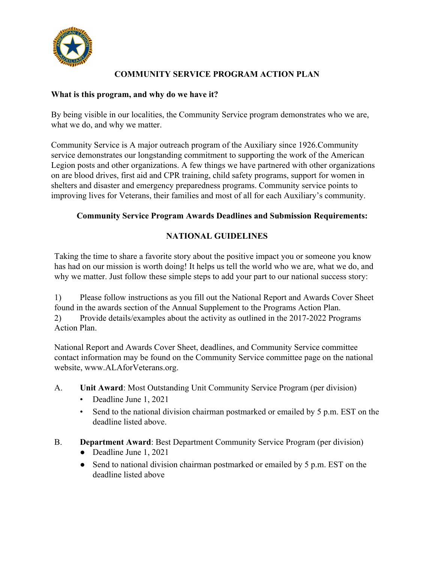

## **COMMUNITY SERVICE PROGRAM ACTION PLAN**

### **What is this program, and why do we have it?**

By being visible in our localities, the Community Service program demonstrates who we are, what we do, and why we matter.

Community Service is A major outreach program of the Auxiliary since 1926.Community service demonstrates our longstanding commitment to supporting the work of the American Legion posts and other organizations. A few things we have partnered with other organizations on are blood drives, first aid and CPR training, child safety programs, support for women in shelters and disaster and emergency preparedness programs. Community service points to improving lives for Veterans, their families and most of all for each Auxiliary's community.

## **Community Service Program Awards Deadlines and Submission Requirements:**

# **NATIONAL GUIDELINES**

Taking the time to share a favorite story about the positive impact you or someone you know has had on our mission is worth doing! It helps us tell the world who we are, what we do, and why we matter. Just follow these simple steps to add your part to our national success story:

1) Please follow instructions as you fill out the National Report and Awards Cover Sheet found in the awards section of the Annual Supplement to the Programs Action Plan.

2) Provide details/examples about the activity as outlined in the 2017-2022 Programs Action Plan.

National Report and Awards Cover Sheet, deadlines, and Community Service committee contact information may be found on the Community Service committee page on the national website[, www.ALAforVeterans.org.](http://www.alaforveterans.org/)

- A. **Unit Award**: Most Outstanding Unit Community Service Program (per division)
	- Deadline June 1, 2021
	- Send to the national division chairman postmarked or emailed by 5 p.m. EST on the deadline listed above.
- B. **Department Award**: Best Department Community Service Program (per division)
	- Deadline June 1, 2021
	- Send to national division chairman postmarked or emailed by 5 p.m. EST on the deadline listed above